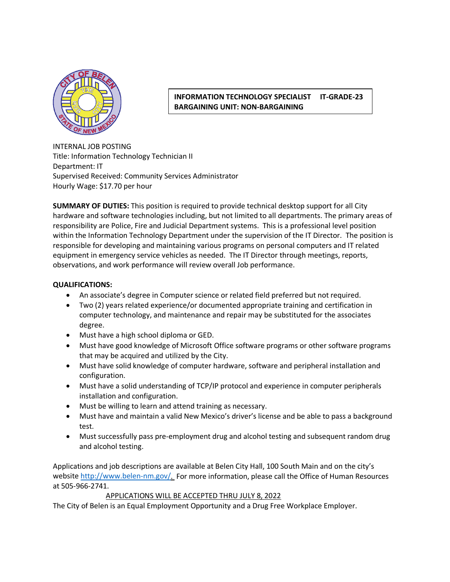

## **INFORMATION TECHNOLOGY SPECIALIST IT-GRADE-23 BARGAINING UNIT: NON-BARGAINING**

INTERNAL JOB POSTING Title: Information Technology Technician II Department: IT Supervised Received: Community Services Administrator Hourly Wage: \$17.70 per hour

**SUMMARY OF DUTIES:** This position is required to provide technical desktop support for all City hardware and software technologies including, but not limited to all departments. The primary areas of responsibility are Police, Fire and Judicial Department systems. This is a professional level position within the Information Technology Department under the supervision of the IT Director. The position is responsible for developing and maintaining various programs on personal computers and IT related equipment in emergency service vehicles as needed. The IT Director through meetings, reports, observations, and work performance will review overall Job performance.

## **QUALIFICATIONS:**

- An associate's degree in Computer science or related field preferred but not required.
- Two (2) years related experience/or documented appropriate training and certification in computer technology, and maintenance and repair may be substituted for the associates degree.
- Must have a high school diploma or GED.
- Must have good knowledge of Microsoft Office software programs or other software programs that may be acquired and utilized by the City.
- Must have solid knowledge of computer hardware, software and peripheral installation and configuration.
- Must have a solid understanding of TCP/IP protocol and experience in computer peripherals installation and configuration.
- Must be willing to learn and attend training as necessary.
- Must have and maintain a valid New Mexico's driver's license and be able to pass a background test.
- Must successfully pass pre-employment drug and alcohol testing and subsequent random drug and alcohol testing.

Applications and job descriptions are available at Belen City Hall, 100 South Main and on the city's websit[e http://www.belen-nm.gov/.](http://www.belen-nm.gov/) For more information, please call the Office of Human Resources at 505-966-2741.

## APPLICATIONS WILL BE ACCEPTED THRU JULY 8, 2022

The City of Belen is an Equal Employment Opportunity and a Drug Free Workplace Employer.